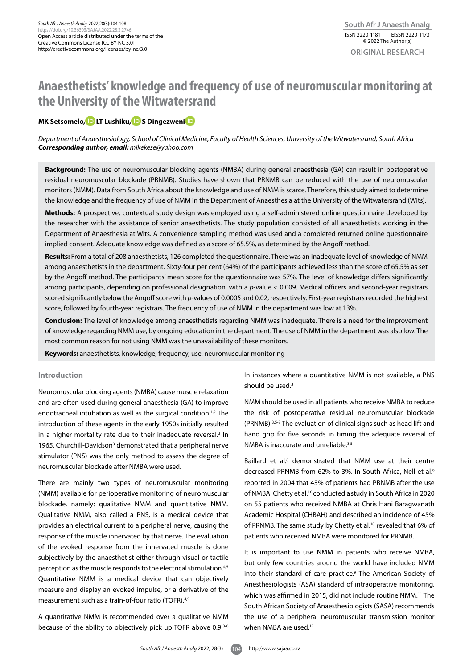# **Anaesthetists' knowledge and frequency of use of neuromuscular monitoring at the University of the Witwatersrand**

# **MK Setsomelo, D LT Lush[i](https://orcid.org/0000-0002-9300-7724 )ku, D S Dingezweni**D

*Department of Anaesthesiology, School of Clinical Medicine, Faculty of Health Sciences, University of the Witwatersrand, South Africa Corresponding author, email: mikekese@yahoo.com*

**Background:** The use of neuromuscular blocking agents (NMBA) during general anaesthesia (GA) can result in postoperative residual neuromuscular blockade (PRNMB). Studies have shown that PRNMB can be reduced with the use of neuromuscular monitors (NMM). Data from South Africa about the knowledge and use of NMM is scarce. Therefore, this study aimed to determine the knowledge and the frequency of use of NMM in the Department of Anaesthesia at the University of the Witwatersrand (Wits).

**Methods:** A prospective, contextual study design was employed using a self-administered online questionnaire developed by the researcher with the assistance of senior anaesthetists. The study population consisted of all anaesthetists working in the Department of Anaesthesia at Wits. A convenience sampling method was used and a completed returned online questionnaire implied consent. Adequate knowledge was defined as a score of 65.5%, as determined by the Angoff method.

**Results:** From a total of 208 anaesthetists, 126 completed the questionnaire. There was an inadequate level of knowledge of NMM among anaesthetists in the department. Sixty-four per cent (64%) of the participants achieved less than the score of 65.5% as set by the Angoff method. The participants' mean score for the questionnaire was 57%. The level of knowledge differs significantly among participants, depending on professional designation, with a *p*-value < 0.009. Medical officers and second-year registrars scored significantly below the Angoff score with *p*-values of 0.0005 and 0.02, respectively. First-year registrars recorded the highest score, followed by fourth-year registrars. The frequency of use of NMM in the department was low at 13%.

**Conclusion:** The level of knowledge among anaesthetists regarding NMM was inadequate. There is a need for the improvement of knowledge regarding NMM use, by ongoing education in the department. The use of NMM in the department was also low. The most common reason for not using NMM was the unavailability of these monitors.

**Keywords:** anaesthetists, knowledge, frequency, use, neuromuscular monitoring

## **Introduction**

Neuromuscular blocking agents (NMBA) cause muscle relaxation and are often used during general anaesthesia (GA) to improve endotracheal intubation as well as the surgical condition.1,2 The introduction of these agents in the early 1950s initially resulted in a higher mortality rate due to their inadequate reversal.<sup>3</sup> In 1965, Churchill-Davidson<sup>3</sup> demonstrated that a peripheral nerve stimulator (PNS) was the only method to assess the degree of neuromuscular blockade after NMBA were used.

There are mainly two types of neuromuscular monitoring (NMM) available for perioperative monitoring of neuromuscular blockade, namely: qualitative NMM and quantitative NMM. Qualitative NMM, also called a PNS, is a medical device that provides an electrical current to a peripheral nerve, causing the response of the muscle innervated by that nerve. The evaluation of the evoked response from the innervated muscle is done subjectively by the anaesthetist either through visual or tactile perception as the muscle responds to the electrical stimulation.4,5 Quantitative NMM is a medical device that can objectively measure and display an evoked impulse, or a derivative of the measurement such as a train-of-four ratio (TOFR).<sup>4,5</sup>

A quantitative NMM is recommended over a qualitative NMM because of the ability to objectively pick up TOFR above 0.9.3-6 In instances where a quantitative NMM is not available, a PNS should be used.<sup>3</sup>

NMM should be used in all patients who receive NMBA to reduce the risk of postoperative residual neuromuscular blockade (PRNMB).3,5-7 The evaluation of clinical signs such as head lift and hand grip for five seconds in timing the adequate reversal of NMBA is inaccurate and unreliable.3,5

Baillard et al.<sup>8</sup> demonstrated that NMM use at their centre decreased PRNMB from 62% to 3%. In South Africa, Nell et al.<sup>9</sup> reported in 2004 that 43% of patients had PRNMB after the use of NMBA. Chetty et al.10 conducted astudy in South Africa in 2020 on 55 patients who received NMBA at Chris Hani Baragwanath Academic Hospital (CHBAH) and described an incidence of 45% of PRNMB. The same study by Chetty et al.<sup>10</sup> revealed that 6% of patients who received NMBA were monitored for PRNMB.

It is important to use NMM in patients who receive NMBA, but only few countries around the world have included NMM into their standard of care practice.<sup>6</sup> The American Society of Anesthesiologists (ASA) standard of intraoperative monitoring, which was affirmed in 2015, did not include routine NMM.<sup>11</sup> The South African Society of Anaesthesiologists (SASA) recommends the use of a peripheral neuromuscular transmission monitor when NMBA are used.12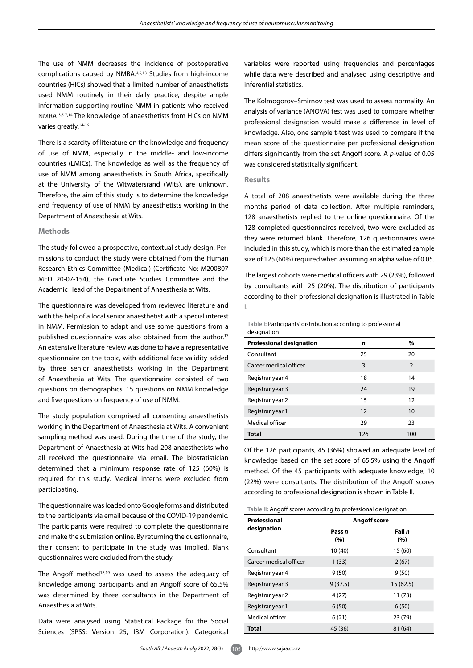The use of NMM decreases the incidence of postoperative complications caused by NMBA.4,5,13 Studies from high-income countries (HICs) showed that a limited number of anaesthetists used NMM routinely in their daily practice, despite ample information supporting routine NMM in patients who received NMBA.3,5-7,14 The knowledge of anaesthetists from HICs on NMM varies greatly.14-16

There is a scarcity of literature on the knowledge and frequency of use of NMM, especially in the middle- and low-income countries (LMICs). The knowledge as well as the frequency of use of NMM among anaesthetists in South Africa, specifically at the University of the Witwatersrand (Wits), are unknown. Therefore, the aim of this study is to determine the knowledge and frequency of use of NMM by anaesthetists working in the Department of Anaesthesia at Wits.

## **Methods**

The study followed a prospective, contextual study design. Permissions to conduct the study were obtained from the Human Research Ethics Committee (Medical) (Certificate No: M200807 MED 20-07-154), the Graduate Studies Committee and the Academic Head of the Department of Anaesthesia at Wits.

The questionnaire was developed from reviewed literature and with the help of a local senior anaesthetist with a special interest in NMM. Permission to adapt and use some questions from a published questionnaire was also obtained from the author.<sup>17</sup> An extensive literature review was done to have a representative questionnaire on the topic, with additional face validity added by three senior anaesthetists working in the Department of Anaesthesia at Wits. The questionnaire consisted of two questions on demographics, 15 questions on NMM knowledge and five questions on frequency of use of NMM.

The study population comprised all consenting anaesthetists working in the Department of Anaesthesia at Wits. A convenient sampling method was used. During the time of the study, the Department of Anaesthesia at Wits had 208 anaesthetists who all received the questionnaire via email. The biostatistician determined that a minimum response rate of 125 (60%) is required for this study. Medical interns were excluded from participating.

The questionnaire was loaded onto Google forms and distributed to the participants via email because of the COVID-19 pandemic. The participants were required to complete the questionnaire and make the submission online. By returning the questionnaire, their consent to participate in the study was implied. Blank questionnaires were excluded from the study.

The Angoff method<sup>18,19</sup> was used to assess the adequacy of knowledge among participants and an Angoff score of 65.5% was determined by three consultants in the Department of Anaesthesia at Wits.

Data were analysed using Statistical Package for the Social Sciences (SPSS; Version 25, IBM Corporation). Categorical variables were reported using frequencies and percentages while data were described and analysed using descriptive and inferential statistics.

The Kolmogorov–Smirnov test was used to assess normality. An analysis of variance (ANOVA) test was used to compare whether professional designation would make a difference in level of knowledge. Also, one sample t-test was used to compare if the mean score of the questionnaire per professional designation differs significantly from the set Angoff score. A *p*-value of 0.05 was considered statistically significant.

#### **Results**

A total of 208 anaesthetists were available during the three months period of data collection. After multiple reminders, 128 anaesthetists replied to the online questionnaire. Of the 128 completed questionnaires received, two were excluded as they were returned blank. Therefore, 126 questionnaires were included in this study, which is more than the estimated sample size of 125 (60%) required when assuming an alpha value of 0.05.

The largest cohorts were medical officers with 29 (23%), followed by consultants with 25 (20%). The distribution of participants according to their professional designation is illustrated in Table I.

**Table I:** Participants' distribution according to professional designation

| <b>Professional designation</b> | n   | $\%$ |
|---------------------------------|-----|------|
| Consultant                      | 25  | 20   |
| Career medical officer          | 3   | 2    |
| Registrar year 4                | 18  | 14   |
| Registrar year 3                | 24  | 19   |
| Registrar year 2                | 15  | 12   |
| Registrar year 1                | 12  | 10   |
| Medical officer                 | 29  | 23   |
| <b>Total</b>                    | 126 | 100  |

Of the 126 participants, 45 (36%) showed an adequate level of knowledge based on the set score of 65.5% using the Angoff method. Of the 45 participants with adequate knowledge, 10 (22%) were consultants. The distribution of the Angoff scores according to professional designation is shown in Table II.

**Table II:** Angoff scores according to professional designation

| Professional           | <b>Angoff score</b> |               |  |
|------------------------|---------------------|---------------|--|
| designation            | Pass n<br>(%)       | Fail n<br>(%) |  |
| Consultant             | 10 (40)             | 15 (60)       |  |
| Career medical officer | 1(33)               | 2(67)         |  |
| Registrar year 4       | 9(50)               | 9(50)         |  |
| Registrar year 3       | 9(37.5)             | 15(62.5)      |  |
| Registrar year 2       | 4(27)               | 11(73)        |  |
| Registrar year 1       | 6(50)               | 6(50)         |  |
| Medical officer        | 6(21)               | 23 (79)       |  |
| <b>Total</b>           | 45 (36)             | 81 (64)       |  |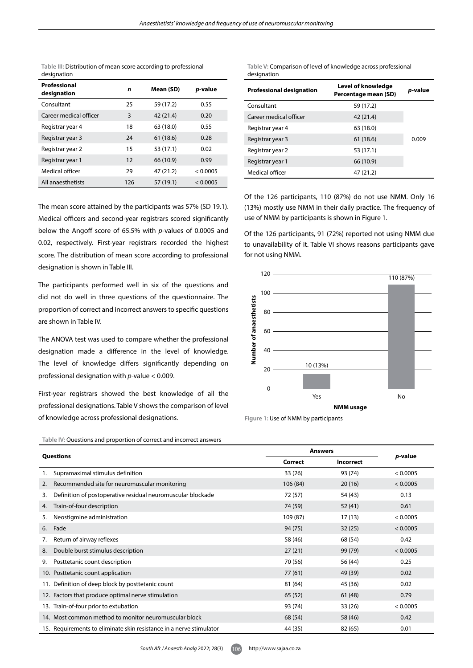**Table III:** Distribution of mean score according to professional designation

| Professional<br>designation | n   | Mean (SD) | p-value  |
|-----------------------------|-----|-----------|----------|
| Consultant                  | 25  | 59 (17.2) | 0.55     |
| Career medical officer      | 3   | 42 (21.4) | 0.20     |
| Registrar year 4            | 18  | 63 (18.0) | 0.55     |
| Registrar year 3            | 24  | 61(18.6)  | 0.28     |
| Registrar year 2            | 15  | 53 (17.1) | 0.02     |
| Registrar year 1            | 12  | 66 (10.9) | 0.99     |
| Medical officer             | 29  | 47 (21.2) | < 0.0005 |
| All anaesthetists           | 126 | 57 (19.1) | < 0.0005 |

The mean score attained by the participants was 57% (SD 19.1). Medical officers and second-year registrars scored significantly below the Angoff score of 65.5% with *p*-values of 0.0005 and 0.02, respectively. First-year registrars recorded the highest score. The distribution of mean score according to professional designation is shown in Table III.

The participants performed well in six of the questions and did not do well in three questions of the questionnaire. The proportion of correct and incorrect answers to specific questions are shown in Table IV.

The ANOVA test was used to compare whether the professional designation made a difference in the level of knowledge. The level of knowledge differs significantly depending on professional designation with *p*-value < 0.009.

First-year registrars showed the best knowledge of all the professional designations. Table V shows the comparison of level of knowledge across professional designations.

**Table V:** Comparison of level of knowledge across professional designation

| <b>Professional designation</b> | Level of knowledge<br>Percentage mean (SD) | <i>p</i> -value |
|---------------------------------|--------------------------------------------|-----------------|
| Consultant                      | 59 (17.2)                                  |                 |
| Career medical officer          | 42 (21.4)                                  |                 |
| Registrar year 4                | 63 (18.0)                                  |                 |
| Registrar year 3                | 61 (18.6)                                  | 0.009           |
| Registrar year 2                | 53 (17.1)                                  |                 |
| Registrar year 1                | 66 (10.9)                                  |                 |
| Medical officer                 | 47 (21.2)                                  |                 |

Of the 126 participants, 110 (87%) do not use NMM. Only 16 (13%) mostly use NMM in their daily practice. The frequency of use of NMM by participants is shown in Figure 1.

Of the 126 participants, 91 (72%) reported not using NMM due to unavailability of it. Table VI shows reasons participants gave for not using NMM.



**Figure 1:** Use of NMM by participants

| <b>Questions</b> |                                                                     | <b>Answers</b> |                  |          |
|------------------|---------------------------------------------------------------------|----------------|------------------|----------|
|                  |                                                                     | Correct        | <b>Incorrect</b> | p-value  |
| 1.               | Supramaximal stimulus definition                                    | 33(26)         | 93 (74)          | < 0.0005 |
| 2.               | Recommended site for neuromuscular monitoring                       | 106 (84)       | 20(16)           | < 0.0005 |
| 3.               | Definition of postoperative residual neuromuscular blockade         | 72 (57)        | 54 (43)          | 0.13     |
| 4.               | Train-of-four description                                           | 74 (59)        | 52(41)           | 0.61     |
| 5.               | Neostigmine administration                                          | 109 (87)       | 17(13)           | < 0.0005 |
| 6.               | Fade                                                                | 94 (75)        | 32(25)           | < 0.0005 |
| 7.               | Return of airway reflexes                                           | 58 (46)        | 68 (54)          | 0.42     |
| 8.               | Double burst stimulus description                                   | 27(21)         | 99 (79)          | < 0.0005 |
| 9.               | Posttetanic count description                                       | 70 (56)        | 56 (44)          | 0.25     |
|                  | 10. Posttetanic count application                                   | 77(61)         | 49 (39)          | 0.02     |
|                  | 11. Definition of deep block by posttetanic count                   | 81 (64)        | 45 (36)          | 0.02     |
|                  | 12. Factors that produce optimal nerve stimulation                  | 65(52)         | 61(48)           | 0.79     |
|                  | 13. Train-of-four prior to extubation                               | 93 (74)        | 33(26)           | < 0.0005 |
|                  | 14. Most common method to monitor neuromuscular block               | 68 (54)        | 58 (46)          | 0.42     |
|                  | 15. Requirements to eliminate skin resistance in a nerve stimulator | 44 (35)        | 82 (65)          | 0.01     |

**Table IV:** Questions and proportion of correct and incorrect answers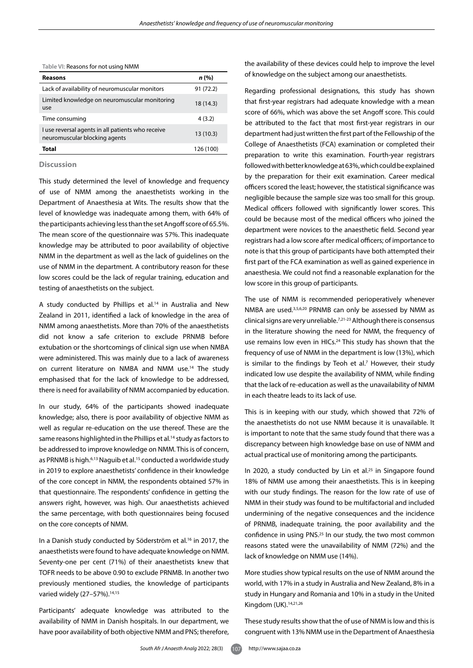**Table VI:** Reasons for not using NMM

| <b>Reasons</b>                                                                     | n (%)     |
|------------------------------------------------------------------------------------|-----------|
| Lack of availability of neuromuscular monitors                                     | 91 (72.2) |
| Limited knowledge on neuromuscular monitoring<br>use                               | 18 (14.3) |
| Time consuming                                                                     | 4(3.2)    |
| I use reversal agents in all patients who receive<br>neuromuscular blocking agents | 13(10.3)  |
| Total                                                                              | 126 (100) |

# **Discussion**

This study determined the level of knowledge and frequency of use of NMM among the anaesthetists working in the Department of Anaesthesia at Wits. The results show that the level of knowledge was inadequate among them, with 64% of the participants achieving less than the set Angoff score of 65.5%. The mean score of the questionnaire was 57%. This inadequate knowledge may be attributed to poor availability of objective NMM in the department as well as the lack of guidelines on the use of NMM in the department. A contributory reason for these low scores could be the lack of regular training, education and testing of anaesthetists on the subject.

A study conducted by Phillips et al.<sup>14</sup> in Australia and New Zealand in 2011, identified a lack of knowledge in the area of NMM among anaesthetists. More than 70% of the anaesthetists did not know a safe criterion to exclude PRNMB before extubation or the shortcomings of clinical sign use when NMBA were administered. This was mainly due to a lack of awareness on current literature on NMBA and NMM use.14 The study emphasised that for the lack of knowledge to be addressed, there is need for availability of NMM accompanied by education.

In our study, 64% of the participants showed inadequate knowledge; also, there is poor availability of objective NMM as well as regular re-education on the use thereof. These are the same reasons highlighted in the Phillips et al.<sup>14</sup> study as factors to be addressed to improve knowledge on NMM. This is of concern, as PRNMB is high.<sup>6,13</sup> Naguib et al.<sup>15</sup> conducted a worldwide study in 2019 to explore anaesthetists' confidence in their knowledge of the core concept in NMM, the respondents obtained 57% in that questionnaire. The respondents' confidence in getting the answers right, however, was high. Our anaesthetists achieved the same percentage, with both questionnaires being focused on the core concepts of NMM.

In a Danish study conducted by Söderström et al.<sup>16</sup> in 2017, the anaesthetists were found to have adequate knowledge on NMM. Seventy-one per cent (71%) of their anaesthetists knew that TOFR needs to be above 0.90 to exclude PRNMB. In another two previously mentioned studies, the knowledge of participants varied widely (27-57%).<sup>14,15</sup>

Participants' adequate knowledge was attributed to the availability of NMM in Danish hospitals. In our department, we have poor availability of both objective NMM and PNS; therefore,

the availability of these devices could help to improve the level of knowledge on the subject among our anaesthetists.

Regarding professional designations, this study has shown that first-year registrars had adequate knowledge with a mean score of 66%, which was above the set Angoff score. This could be attributed to the fact that most first-year registrars in our department had just written the first part of the Fellowship of the College of Anaesthetists (FCA) examination or completed their preparation to write this examination. Fourth-year registrars followed with better knowledge at 63%, which could be explained by the preparation for their exit examination. Career medical officers scored the least; however, the statistical significance was negligible because the sample size was too small for this group. Medical officers followed with significantly lower scores. This could be because most of the medical officers who joined the department were novices to the anaesthetic field. Second year registrars had a low score after medical officers; of importance to note is that this group of participants have both attempted their first part of the FCA examination as well as gained experience in anaesthesia. We could not find a reasonable explanation for the low score in this group of participants.

The use of NMM is recommended perioperatively whenever NMBA are used.3,5,6,20 PRNMB can only be assessed by NMM as clinical signs are very unreliable.7,21-23 Although there is consensus in the literature showing the need for NMM, the frequency of use remains low even in HICs.<sup>24</sup> This study has shown that the frequency of use of NMM in the department is low (13%), which is similar to the findings by Teoh et al.<sup>7</sup> However, their study indicated low use despite the availability of NMM, while finding that the lack of re-education as well as the unavailability of NMM in each theatre leads to its lack of use.

This is in keeping with our study, which showed that 72% of the anaesthetists do not use NMM because it is unavailable. It is important to note that the same study found that there was a discrepancy between high knowledge base on use of NMM and actual practical use of monitoring among the participants.

In 2020, a study conducted by Lin et al. $25$  in Singapore found 18% of NMM use among their anaesthetists. This is in keeping with our study findings. The reason for the low rate of use of NMM in their study was found to be multifactorial and included undermining of the negative consequences and the incidence of PRNMB, inadequate training, the poor availability and the confidence in using PNS.25 In our study, the two most common reasons stated were the unavailability of NMM (72%) and the lack of knowledge on NMM use (14%).

More studies show typical results on the use of NMM around the world, with 17% in a study in Australia and New Zealand, 8% in a study in Hungary and Romania and 10% in a study in the United Kingdom (UK).14,21,26

These study results show that the of use of NMM is low and this is congruent with 13% NMM use in the Department of Anaesthesia